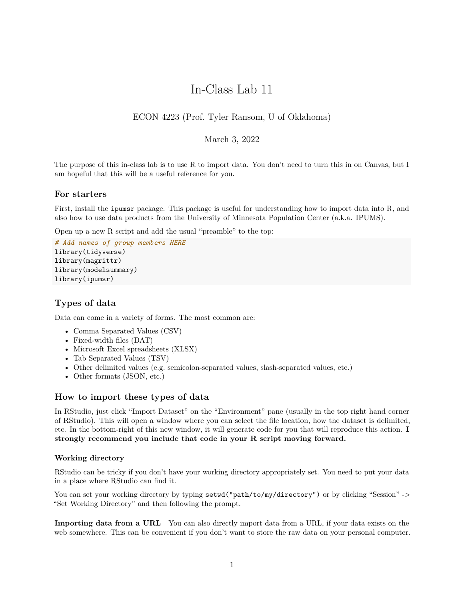# In-Class Lab 11

# ECON 4223 (Prof. Tyler Ransom, U of Oklahoma)

## March 3, 2022

The purpose of this in-class lab is to use R to import data. You don't need to turn this in on Canvas, but I am hopeful that this will be a useful reference for you.

### **For starters**

First, install the ipumsr package. This package is useful for understanding how to import data into R, and also how to use data products from the University of Minnesota Population Center (a.k.a. IPUMS).

Open up a new R script and add the usual "preamble" to the top:

```
# Add names of group members HERE
library(tidyverse)
library(magrittr)
library(modelsummary)
library(ipumsr)
```
## **Types of data**

Data can come in a variety of forms. The most common are:

- Comma Separated Values (CSV)
- Fixed-width files (DAT)
- Microsoft Excel spreadsheets (XLSX)
- Tab Separated Values (TSV)
- Other delimited values (e.g. semicolon-separated values, slash-separated values, etc.)
- Other formats (JSON, etc.)

### **How to import these types of data**

In RStudio, just click "Import Dataset" on the "Environment" pane (usually in the top right hand corner of RStudio). This will open a window where you can select the file location, how the dataset is delimited, etc. In the bottom-right of this new window, it will generate code for you that will reproduce this action. **I strongly recommend you include that code in your R script moving forward.**

#### **Working directory**

RStudio can be tricky if you don't have your working directory appropriately set. You need to put your data in a place where RStudio can find it.

You can set your working directory by typing setwd("path/to/my/directory") or by clicking "Session" -> "Set Working Directory" and then following the prompt.

**Importing data from a URL** You can also directly import data from a URL, if your data exists on the web somewhere. This can be convenient if you don't want to store the raw data on your personal computer.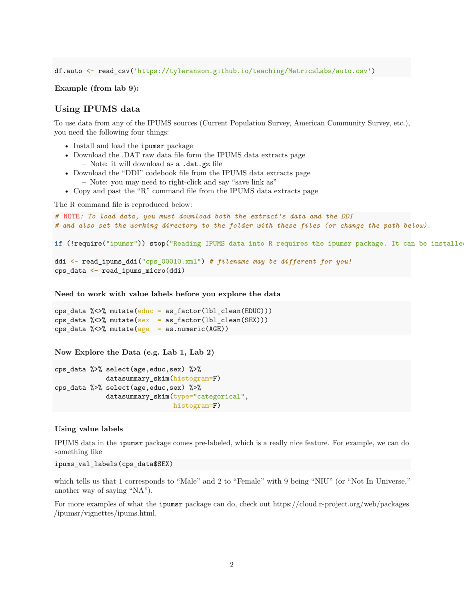df.auto <- read\_csv('https://tyleransom.github.io/teaching/MetricsLabs/auto.csv')

**Example (from lab 9):**

## **Using IPUMS data**

To use data from any of the IPUMS sources (Current Population Survey, American Community Survey, etc.), you need the following four things:

- Install and load the ipumsr package
- Download the .DAT raw data file form the IPUMS data extracts page **–** Note: it will download as a .dat.gz file
- 
- Download the "DDI" codebook file from the IPUMS data extracts page **–** Note: you may need to right-click and say "save link as"
- Copy and past the "R" command file from the IPUMS data extracts page

The R command file is reproduced below:

```
# NOTE: To load data, you must download both the extract's data and the DDI
# and also set the working directory to the folder with these files (or change the path below).
if (!require("ipumsr")) stop("Reading IPUMS data into R requires the ipumsr package. It can be installe
ddi <- read_ipums_ddi("cps_00010.xml") # filename may be different for you!
cps_data <- read_ipums_micro(ddi)
```
**Need to work with value labels before you explore the data**

```
cps_data %<>% mutate(educ = as_factor(lbl_clean(EDUC)))
cps\_data %<>% mutate(sex = as_factor(lbl_clean(SEX)))
cps_data \frac{1}{6} <> \frac{1}{6} mutate(age = as.numeric(AGE))
```
**Now Explore the Data (e.g. Lab 1, Lab 2)**

```
cps_data %>% select(age,educ,sex) %>%
             datasummary_skim(histogram=F)
cps_data %>% select(age,educ,sex) %>%
             datasummary_skim(type="categorical",
                              histogram=F)
```
#### **Using value labels**

IPUMS data in the ipumsr package comes pre-labeled, which is a really nice feature. For example, we can do something like

ipums\_val\_labels(cps\_data\$SEX)

which tells us that 1 corresponds to "Male" and 2 to "Female" with 9 being "NIU" (or "Not In Universe," another way of saying "NA").

For more examples of what the ipumsr package can do, check out [https://cloud.r-project.org/web/packages](https://cloud.r-project.org/web/packages/ipumsr/vignettes/ipums.html) [/ipumsr/vignettes/ipums.html.](https://cloud.r-project.org/web/packages/ipumsr/vignettes/ipums.html)